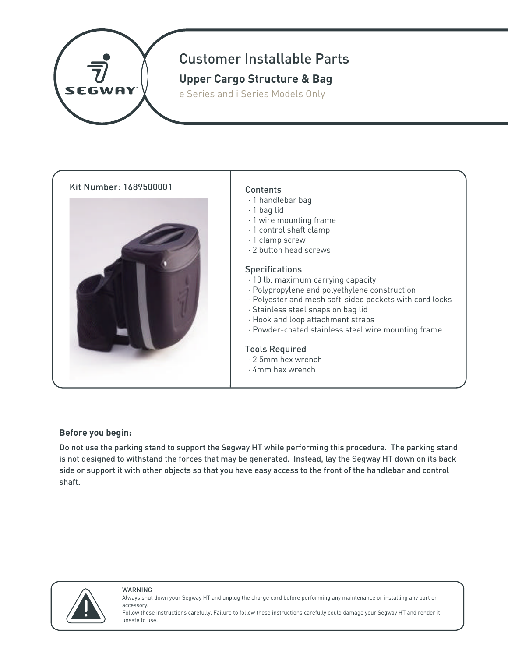

# Customer Installable Parts

## **Upper Cargo Structure & Bag**

e Series and i Series Models Only





- · 1 handlebar bag
- · 1 bag lid
- · 1 wire mounting frame
- · 1 control shaft clamp
- · 1 clamp screw
- · 2 button head screws

#### **Specifications**

- · 10 lb. maximum carrying capacity
- · Polypropylene and polyethylene construction
- · Polyester and mesh soft-sided pockets with cord locks
- · Stainless steel snaps on bag lid
- · Hook and loop attachment straps
- · Powder-coated stainless steel wire mounting frame

#### Tools Required

- · 2.5mm hex wrench
- · 4mm hex wrench

### **Before you begin:**

Do not use the parking stand to support the Segway HT while performing this procedure. The parking stand is not designed to withstand the forces that may be generated. Instead, lay the Segway HT down on its back side or support it with other objects so that you have easy access to the front of the handlebar and control shaft.



WARNING

Always shut down your Segway HT and unplug the charge cord before performing any maintenance or installing any part or accessory.

Follow these instructions carefully. Failure to follow these instructions carefully could damage your Segway HT and render it unsafe to use.